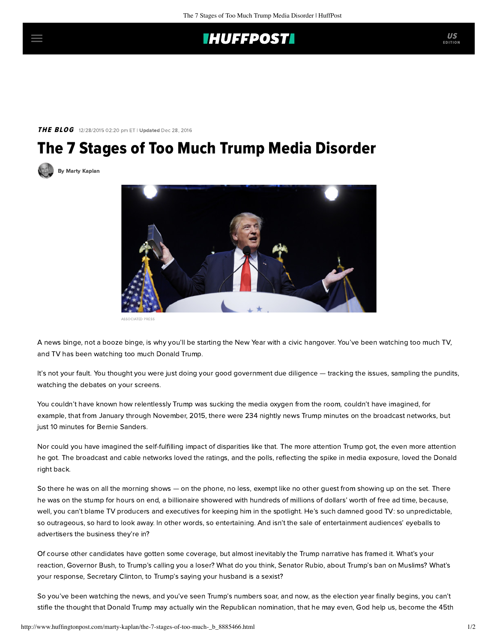## **IHUFFPOSTI**

THE BLOG 12/28/2015 02:20 pm ET | Updated Dec 28, 2016

## The 7 Stages of Too Much Trump Media Disorder

[By Marty Kaplan](http://www.huffingtonpost.com/author/marty-kaplan)



ASSOCIATED PRESS

A news binge, not a booze binge, is why you'll be starting the New Year with a civic hangover. You've been watching too much TV, and TV has been watching too much Donald Trump.

It's not your fault. You thought you were just doing your good government due diligence — tracking the issues, sampling the pundits, watching the debates on your screens.

You couldn't have known how relentlessly Trump was sucking the media oxygen from the room, couldn't have imagined, for example, that from January through November, 2015, there were [234](http://tyndallreport.com/) nightly news Trump minutes on the broadcast networks, but just 10 minutes for Bernie Sanders.

Nor could you have imagined the self-fulfilling impact of disparities like that. The more attention Trump got, the even more attention he got. The broadcast and cable networks loved the ratings, and the polls, reflecting the spike in media exposure, loved the Donald right back.

So there he was on all the morning shows — on the phone, no less, exempt like no other guest from showing up on the set. There he was on the stump for hours on end, a billionaire showered with hundreds of millions of dollars' worth of free ad time, because, well, you can't blame TV producers and executives for keeping him in the spotlight. He's such damned good TV: so unpredictable, so outrageous, so hard to look away. In other words, so entertaining. And isn't the sale of entertainment audiences' eyeballs to advertisers the business they're in?

Of course other candidates have gotten some coverage, but almost inevitably the Trump narrative has framed it. What's your reaction, Governor Bush, to Trump's calling you a loser? What do you think, Senator Rubio, about Trump's ban on Muslims? What's your response, Secretary Clinton, to Trump's saying your husband is a sexist?

So you've been watching the news, and you've seen Trump's numbers soar, and now, as the election year finally begins, you can't stifle the thought that Donald Trump may actually win the Republican nomination, that he may even, God help us, become the 45th